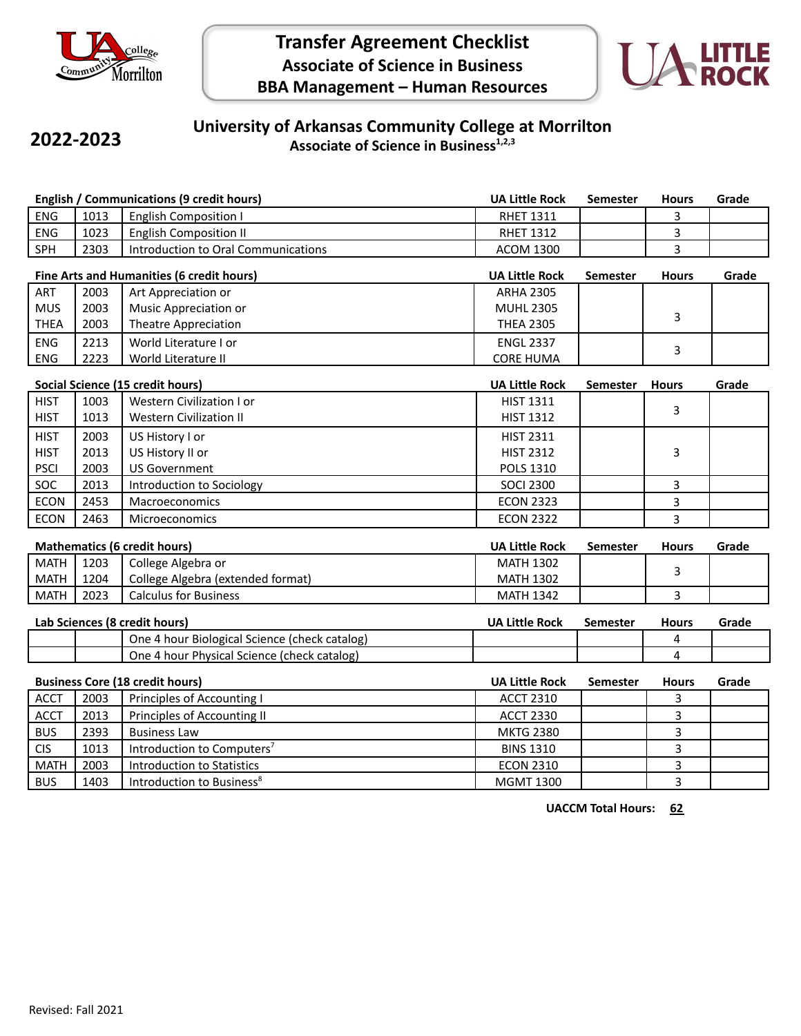

# **Transfer Agreement Checklist Associate of Science in Business BBA Management – Human Resources**



## **2022-2023**

#### **University of Arkansas Community College at Morrilton Associate of Science in Business1,2,3**

| <b>English / Communications (9 credit hours)</b> |                                    |                                               | <b>UA Little Rock</b> | <b>Semester</b> | <b>Hours</b>   | Grade |
|--------------------------------------------------|------------------------------------|-----------------------------------------------|-----------------------|-----------------|----------------|-------|
| ENG                                              | 1013                               | <b>English Composition I</b>                  | <b>RHET 1311</b>      |                 | 3              |       |
| ENG                                              | 1023                               | <b>English Composition II</b>                 | <b>RHET 1312</b>      |                 | 3              |       |
| SPH                                              | 2303                               | <b>Introduction to Oral Communications</b>    | <b>ACOM 1300</b>      |                 | 3              |       |
| Fine Arts and Humanities (6 credit hours)        |                                    |                                               | <b>UA Little Rock</b> | <b>Semester</b> | <b>Hours</b>   | Grade |
| ART                                              | 2003                               | Art Appreciation or                           | <b>ARHA 2305</b>      |                 |                |       |
| <b>MUS</b>                                       | 2003                               | Music Appreciation or                         | <b>MUHL 2305</b>      |                 |                |       |
| <b>THEA</b>                                      | 2003                               | <b>Theatre Appreciation</b>                   | <b>THEA 2305</b>      |                 | 3              |       |
| ENG                                              | 2213                               | World Literature I or                         | <b>ENGL 2337</b>      |                 |                |       |
| ENG                                              | 2223                               | World Literature II                           | <b>CORE HUMA</b>      |                 | 3              |       |
|                                                  |                                    | Social Science (15 credit hours)              | <b>UA Little Rock</b> | <b>Semester</b> | <b>Hours</b>   | Grade |
| <b>HIST</b>                                      | 1003                               | Western Civilization I or                     | <b>HIST 1311</b>      |                 |                |       |
| <b>HIST</b>                                      | 1013                               | <b>Western Civilization II</b>                | <b>HIST 1312</b>      |                 | 3              |       |
| <b>HIST</b>                                      | 2003                               | US History I or                               | <b>HIST 2311</b>      |                 |                |       |
| <b>HIST</b>                                      | 2013                               | US History II or                              | <b>HIST 2312</b>      |                 | 3              |       |
| <b>PSCI</b>                                      | 2003                               | <b>US Government</b>                          | POLS 1310             |                 |                |       |
| SOC                                              | 2013                               | Introduction to Sociology                     | <b>SOCI 2300</b>      |                 | 3              |       |
| <b>ECON</b>                                      | 2453                               | Macroeconomics                                | <b>ECON 2323</b>      |                 | 3              |       |
| <b>ECON</b>                                      | 2463                               | Microeconomics                                | <b>ECON 2322</b>      |                 | 3              |       |
| <b>Mathematics (6 credit hours)</b>              |                                    |                                               | <b>UA Little Rock</b> | <b>Semester</b> | <b>Hours</b>   | Grade |
| <b>MATH</b>                                      | 1203                               | College Algebra or                            | <b>MATH 1302</b>      |                 |                |       |
| <b>MATH</b>                                      | 1204                               | College Algebra (extended format)             | <b>MATH 1302</b>      |                 | 3              |       |
| <b>MATH</b>                                      | 2023                               | <b>Calculus for Business</b>                  | <b>MATH 1342</b>      |                 | 3              |       |
|                                                  |                                    | Lab Sciences (8 credit hours)                 | <b>UA Little Rock</b> | <b>Semester</b> | <b>Hours</b>   | Grade |
|                                                  |                                    | One 4 hour Biological Science (check catalog) |                       |                 | 4              |       |
|                                                  |                                    | One 4 hour Physical Science (check catalog)   |                       |                 | 4              |       |
| <b>Business Core (18 credit hours)</b>           |                                    |                                               | <b>UA Little Rock</b> | <b>Semester</b> | <b>Hours</b>   | Grade |
| <b>ACCT</b>                                      | 2003<br>Principles of Accounting I |                                               | <b>ACCT 2310</b>      |                 | 3              |       |
| <b>ACCT</b>                                      | 2013                               | Principles of Accounting II                   | <b>ACCT 2330</b>      |                 | 3              |       |
| <b>BUS</b>                                       | 2393                               | <b>Business Law</b>                           | <b>MKTG 2380</b>      |                 | 3              |       |
| <b>CIS</b>                                       | 1013                               | Introduction to Computers <sup>7</sup>        | <b>BINS 1310</b>      |                 | 3              |       |
| <b>MATH</b>                                      | 2003                               | <b>Introduction to Statistics</b>             | <b>ECON 2310</b>      |                 | 3              |       |
| <b>BUS</b>                                       | 1403                               | Introduction to Business <sup>8</sup>         | <b>MGMT 1300</b>      |                 | $\overline{3}$ |       |

**UACCM Total Hours: 62**